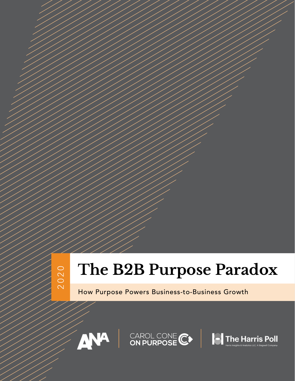2020

## **The B2B Purpose Paradox**

How Purpose Powers Business-to-Business Growth





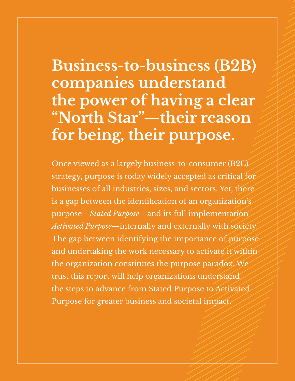## **Business-to-business (B2B) companies understand the power of having a clear "North Star"—their reason for being, their purpose.**

Once viewed as a largely business-to-consumer (B2C) strategy, purpose is today widely accepted as critical for businesses of all industries, sizes, and sectors. Yet, there is a gap between the identification of an organization's  $\overline{\phantom{a}}$ purpose—*Stated Purpose*—and its full implementation— *Activated Purpose*—internally and externally with society. The gap between identifying the importance of purpose and undertaking the work necessary to activate it within the organization constitutes the purpose paradox. We trust this report will help organizations understand the steps to advance from Stated Purpose to Activated Purpose for greater business and societal impact.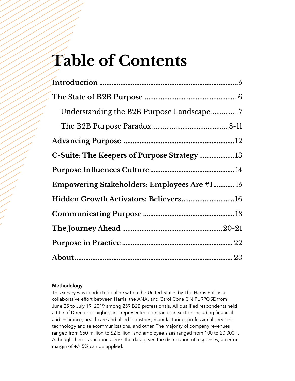## **Table of Contents**

| Understanding the B2B Purpose Landscape7     |  |
|----------------------------------------------|--|
|                                              |  |
|                                              |  |
| C-Suite: The Keepers of Purpose Strategy 13  |  |
|                                              |  |
| Empowering Stakeholders: Employees Are #1 15 |  |
| Hidden Growth Activators: Believers 16       |  |
|                                              |  |
|                                              |  |
|                                              |  |
|                                              |  |

#### Methodology

This survey was conducted online within the United States by The Harris Poll as a collaborative effort between Harris, the ANA, and Carol Cone ON PURPOSE from June 25 to July 19, 2019 among 259 B2B professionals. All qualified respondents held a title of Director or higher, and represented companies in sectors including financial and insurance, healthcare and allied industries, manufacturing, professional services, technology and telecommunications, and other. The majority of company revenues ranged from \$50 million to \$2 billion, and employee sizes ranged from 100 to 20,000+. Although there is variation across the data given the distribution of responses, an error margin of +/- 5% can be applied.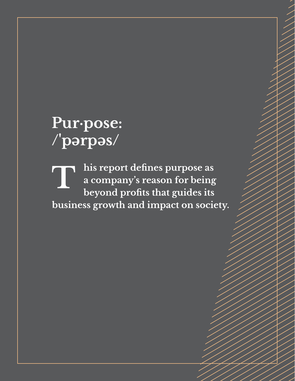## Pur·pose: /'parpas/

his report defines purpose as a company's reason for being beyond profits that guides its business growth and impact on society.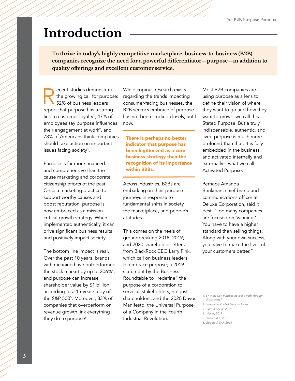## **Introduction**

**To thrive in today's highly competitive marketplace, business-to-business (B2B)**  companies recognize the need for a powerful differentiator—purpose—in addition to quality offerings and excellent customer service.

ecent studies demonstrate the growing call for purpose: 52% of business leaders report studies demonstrate<br>the growing call for purpos<br>52% of business leaders<br>report that purpose has a strong link to customer loyalty<sup>1</sup>, 47% of employees say purpose influences their engagement at work<sup>2</sup>, and 78% of Americans think companies should take action on important issues facing society<sup>3</sup>.

Purpose is far more nuanced and comprehensive than the cause marketing and corporate citizenship efforts of the past. Once a marketing practice to support worthy causes and boost reputation, purpose is now embraced as a missioncritical growth strategy. When implemented authentically, it can drive significant business results and positively impact society.

The bottom line impact is real. Over the past 10 years, brands with meaning have outperformed the stock market by up to 206%4 , and purpose can increase shareholder value by \$1 billion, according to a 15-year study of the S&P 5005 . Moreover, 83% of companies that overperform on revenue growth link everything they do to purpose<sup>6</sup>.

While copious research exists regarding the trends impacting consumer-facing businesses, the B2B sector's embrace of purpose has not been studied closely, until now.

There is perhaps no better indicator that purpose has been legitimized as a core business strategy than the recognition of its importance within B2Bs.

Across industries, B2Bs are embarking on their purpose journeys in response to fundamental shifts in society, the marketplace, and people's attitudes.

This comes on the heels of groundbreaking 2018, 2019, and 2020 shareholder letters from BlackRock CEO Larry Fink, which call on business leaders to embrace purpose; a 2019 statement by the Business Roundtable to "redefine" the purpose of a corporation to serve all stakeholders, not just shareholders; and the 2020 Davos Manifesto: the Universal Purpose of a Company in the Fourth Industrial Revolution.

Most B2B companies are using purpose as a lens to define their vision of where they want to go and how they want to grow—we call this Stated Purpose. But a truly indispensable, authentic, and lived purpose is much more profound than that. It is fully embedded in the business, and activated internally and externally—what we call Activated Purpose.

Perhaps Amanda Brinkman, chief brand and communications officer at Deluxe Corporation, said it best: "Too many companies are focused on 'winning.' You have to have a higher standard than selling things. Along with your own success, you have to make the lives of your customers better."

4. Havas, 2017

<sup>1.</sup> EY, How Can Purpose Reveal a Path Through Uncertainty?

<sup>2.</sup> Imperative Global Purpose Index

<sup>3.</sup> Sprout Social, 2018

<sup>5.</sup> Project ROI, 2015

<sup>6.</sup> Google & SAP, 2018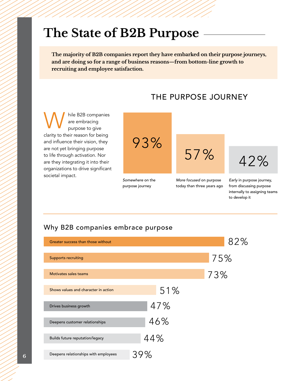## The State of B2B Purpose

The majority of B2B companies report they have embarked on their purpose journeys, and are doing so for a range of business reasons-from bottom-line growth to recruiting and employee satisfaction.

### THE PURPOSE JOURNEY

to develop it

hile B2B companies are embracing purpose to give clarity to their reason for being and influence their vision, they are not yet bringing purpose to life through activation. Nor are they integrating it into their organizations to drive significant societal impact.



### Why B2B companies embrace purpose

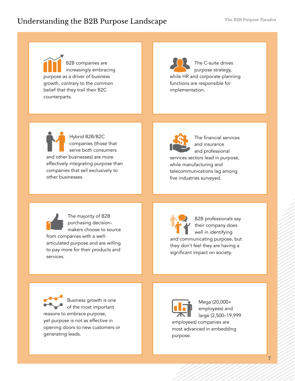### Understanding the B2B Purpose Landscape

B2B companies are increasingly embracing purpose as a driver of business growth, contrary to the common belief that they trail their B2C counterparts.

The C-suite drives purpose strategy, while HR and corporate planning functions are responsible for implementation.

Hybrid B2B/B2C companies (those that serve both consumers and other businesses) are more effectively integrating purpose than companies that sell exclusively to other businesses.



The financial services and insurance and professional services sectors lead in purpose, while manufacturing and telecommunications lag among five industries surveyed.



The majority of B2B purchasing decisionmakers choose to source

from companies with a wellarticulated purpose and are willing to pay more for their products and services.

B2B professionals say their company does well in identifying and communicating purpose, but they don't feel they are having a significant impact on society.

Business growth is one of the most important reasons to embrace purpose, yet purpose is not as effective in opening doors to new customers or generating leads.



Mega (20,000+ employees) and large (2,500-19,999 employees) companies are most advanced in embedding purpose.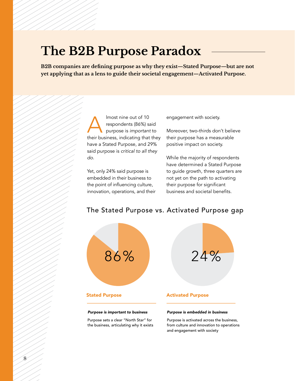## **The B2B Purpose Paradox**

<u>B2B companies are defining purpose as why they exist—Stated Purpose—but are not</u> **yet applying that as a lens to guide their societal engagement—Activated Purpose.** 

> Imost nine out of 10<br>
> respondents (86%) said<br>
> purpose is *important* to<br>
> their business, indicating that they respondents (86%) said purpose is important to have a Stated Purpose, and 29% said purpose is critical to all they do.

Yet, only 24% said purpose is embedded in their business to the point of influencing culture, innovation, operations, and their engagement with society.

Moreover, two-thirds don't believe their purpose has a measurable positive impact on society.

While the majority of respondents have determined a Stated Purpose to guide growth, three quarters are not yet on the path to activating their purpose for significant business and societal benefits.



### The Stated Purpose vs. Activated Purpose gap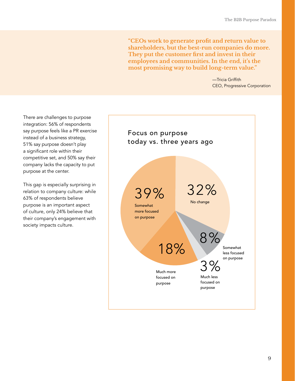"CEOs work to generate profit and return value to **shareholders, but the best-run companies do more.**  They put the customer first and invest in their **employees and communities. In the end, it's the most promising way to build long-term value."**

> -Tricia Griffith CEO, Progressive Corporation

There are challenges to purpose integration: 56% of respondents say purpose feels like a PR exercise instead of a business strategy, 51% say purpose doesn't play a significant role within their competitive set, and 50% say their company lacks the capacity to put purpose at the center.

This gap is especially surprising in relation to company culture: while 63% of respondents believe purpose is an important aspect of culture, only 24% believe that their company's engagement with society impacts culture.

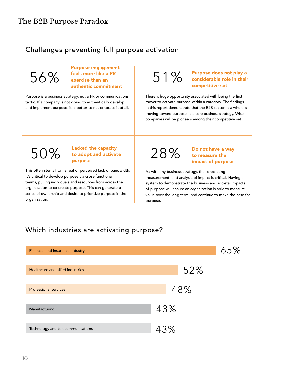### The B2B Purpose Paradox

### Challenges preventing full purpose activation



#### **Purpose engagement** feels more like a PR exercise than an authentic commitment

Purpose is a business strategy, not a PR or communications tactic. If a company is not going to authentically develop and implement purpose, it is better to not embrace it at all.

## $51%$

#### Purpose does not play a considerable role in their competitive set

There is huge opportunity associated with being the first mover to activate purpose within a category. The findings in this report demonstrate that the B2B sector as a whole is moving toward purpose as a core business strategy. Wise companies will be pioneers among their competitive set.

## 50%

#### **Lacked the capacity** to adopt and activate purpose

This often stems from a real or perceived lack of bandwidth. It's critical to develop purpose via cross-functional teams, pulling individuals and resources from across the organization to co-create purpose. This can generate a sense of ownership and desire to prioritize purpose in the organization.



#### Do not have a way to measure the impact of purpose

As with any business strategy, the forecasting, measurement, and analysis of impact is critical. Having a system to demonstrate the business and societal impacts of purpose will ensure an organization is able to measure value over the long term, and continue to make the case for purpose.

### Which industries are activating purpose?

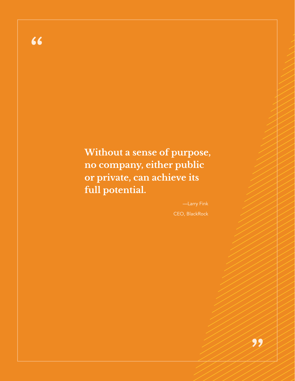## **Without a sense of purpose, no company, either public or private, can achieve its full potential.**

—Larry Fink CEO, BlackRock

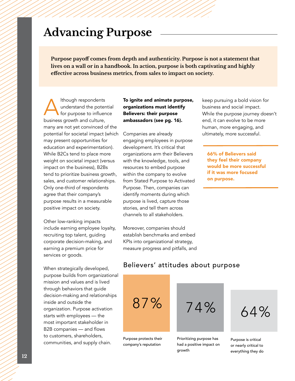## **Advancing Purpose**

Purpose payoff comes from depth and authenticity. Purpose is not a statement that lives on a wall or in a handbook. In action, purpose is both captivating and highly effective across business metrics, from sales to impact on society.

Ithough respondents understand the potential for purpose to influence business growth and culture, many are not yet convinced of the potential for societal impact (which may present opportunities for education and experimentation). While B2Cs tend to place more weight on societal impact (versus impact on the business), B2Bs tend to prioritize business growth, sales, and customer relationships. Only one-third of respondents agree that their company's purpose results in a measurable positive impact on society.

Other low-ranking impacts include earning employee loyalty, recruiting top talent, guiding corporate decision-making, and earning a premium price for services or goods.

When strategically developed, purpose builds from organizational mission and values and is lived through behaviors that quide decision-making and relationships inside and outside the organization. Purpose activation starts with employees - the most important stakeholder in B2B companies - and flows to customers, shareholders, communities, and supply chain.

#### To ignite and animate purpose, organizations must identify **Believers: their purpose** ambassadors (see pg. 16).

Companies are already engaging employees in purpose development. It's critical that organizations arm their Believers with the knowledge, tools, and resources to embed purpose within the company to evolve from Stated Purpose to Activated Purpose. Then, companies can identify moments during which purpose is lived, capture those stories, and tell them across channels to all stakeholders.

Moreover, companies should establish benchmarks and embed KPIs into organizational strategy, measure progress and pitfalls, and

keep pursuing a bold vision for business and social impact. While the purpose journey doesn't end, it can evolve to be more human, more engaging, and ultimately, more successful.

66% of Believers said they feel their company would be more successful if it was more focused on purpose.

### Believers' attitudes about purpose

87%

Purpose protects their company's reputation

74%

Prioritizing purpose has had a positive impact on growth

 $64%$ 

Purpose is critical or nearly critical to everything they do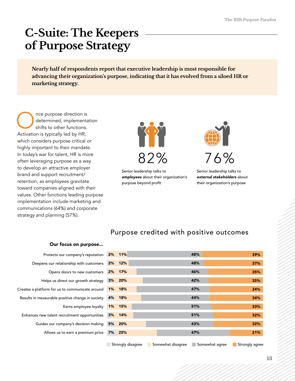## **C-Suite: The Keepers** of Purpose Strategy

Nearly half of respondents report that executive leadership is most responsible for advancing their organization's purpose, indicating that it has evolved from a siloed HR or marketing strategy.

nce purpose direction is determined, implementation shifts to other functions. Activation is typically led by HR, which considers purpose critical or highly important to their mandate. In today's war for talent, HR is more often leveraging purpose as a way to develop an attractive employer brand and support recruitment/ retention, as employees gravitate toward companies aligned with their values. Other functions leading purpose implementation include marketing and communications (64%) and corporate strategy and planning (57%).



Senior leadership talks to employees about their organization's purpose beyond profit





Senior leadership talks to external stakeholders about their organization's purpose

### Purpose credited with positive outcomes

| $\ddot{\phantom{a}}$    | Protects our company's reputation                |
|-------------------------|--------------------------------------------------|
| $\ddot{\phantom{a}}$    | Deepens our relationship with customers          |
| ź                       | Opens doors to new customers                     |
| $\ddot{\cdot}$          | Helps us direct our growth strategy              |
| f                       | Creates a platform for us to communicate around  |
| $\overline{\mathbf{r}}$ | Results in measurable positive change in society |
| ł                       | Earns employee loyalty                           |
| $\ddot{\cdot}$          | Enhances new talent recruitment opportunities    |
| $\ddot{\cdot}$          | Guides our company's decision making             |
| $\overline{1}$          | Allows us to earn a premium price                |
|                         |                                                  |

Our focus on purpose...

|    | 2% 11% |        |  | 48% |  | 39% |
|----|--------|--------|--|-----|--|-----|
|    | 2% 12% |        |  | 48% |  | 37% |
|    | 2% 17% |        |  | 46% |  | 35% |
|    | 3% 20% |        |  | 42% |  | 35% |
|    | 1% 18% |        |  | 47% |  | 34% |
| 4% | 18%    |        |  | 44% |  | 34% |
|    | 1% 15% |        |  | 51% |  | 33% |
|    | 3% 14% |        |  | 51% |  | 32% |
|    | 5% 20% |        |  | 43% |  | 32% |
|    | 7% 25% |        |  | 47% |  | 21% |
|    |        | $\sim$ |  | $-$ |  |     |

Strongly disagree Somewhat disagree Somewhat agree

Strongly agree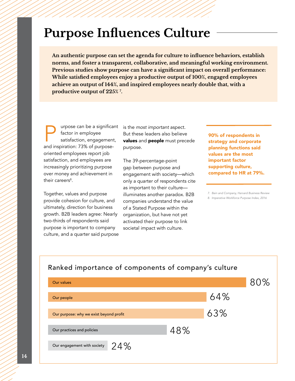## **Purpose Influences Culture**

An authentic purpose can set the agenda for culture to influence behaviors, establish norms, and foster a transparent, collaborative, and meaningful working environment. Previous studies show purpose can have a significant impact on overall performance: While satisfied employees enjoy a productive output of 100%, engaged employees achieve an output of 144%, and inspired employees nearly double that, with a productive output of 225%?.

urpose can be a significant factor in employee satisfaction, engagement, and inspiration: 73% of purposeoriented employees report job satisfaction, and employees are increasingly prioritizing purpose over money and achievement in their careers<sup>8</sup>.

Together, values and purpose provide cohesion for culture, and ultimately, direction for business growth. B2B leaders agree: Nearly two-thirds of respondents said purpose is important to company culture, and a quarter said purpose is the most important aspect. But these leaders also believe values and people must precede purpose.

The 39-percentage-point gap between purpose and engagement with society-which only a quarter of respondents cite as important to their cultureilluminates another paradox. B2B companies understand the value of a Stated Purpose within the organization, but have not yet activated their purpose to link societal impact with culture.

90% of respondents in strategy and corporate planning functions said values are the most important factor supporting culture, compared to HR at 79%.

7. Bain and Company, Harvard Business Review 8. Imperative Workforce Purpose Index, 2016

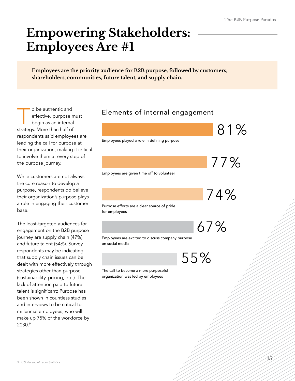## **Empowering Stakeholders: Employees Are #1**

Employees are the priority audience for B2B purpose, followed by customers, shareholders, communities, future talent, and supply chain.

o be authentic and effective, purpose must begin as an internal strategy. More than half of respondents said employees are leading the call for purpose at their organization, making it critical to involve them at every step of the purpose journey.

While customers are not always the core reason to develop a purpose, respondents do believe their organization's purpose plays a role in engaging their customer hase

The least-targeted audiences for engagement on the B2B purpose journey are supply chain (47%) and future talent (54%). Survey respondents may be indicating that supply chain issues can be dealt with more effectively through strategies other than purpose (sustainability, pricing, etc.). The lack of attention paid to future talent is significant: Purpose has been shown in countless studies and interviews to be critical to millennial employees, who will make up 75% of the workforce by 2030.9

### Elements of internal engagement



Purpose efforts are a clear source of pride for employees

Employees are excited to discuss company purpose on social media

The call to become a more purposeful organization was led by employees

 $67%$ 

55%

 $74%$ 

9. U.S. Bureau of Labor Statistics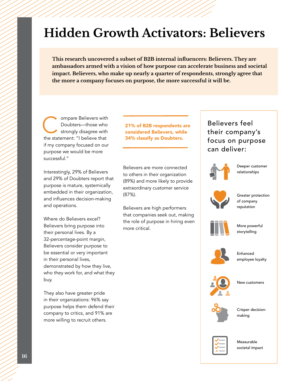## **Hidden Growth Activators: Believers**

This research uncovered a subset of B2B internal influencers: Believers. They are **ambassadors armed with a vision of how purpose can accelerate business and societal impact. Believers, who make up nearly a quarter of respondents, strongly agree that the more a company focuses on purpose, the more successful it will be.**

ompare Believers with Doubters—those who strongly disagree with ompare Believers with<br>
Doubters—those who<br>
strongly disagree with<br>
the statement: "I believe that if my company focused on our purpose we would be more successful."

Interestingly, 29% of Believers and 29% of Doubters report that purpose is mature, systemically embedded in their organization, and influences decision-making and operations.

Where do Believers excel? Believers bring purpose into their personal lives. By a 32-percentage-point margin, Believers consider purpose to be essential or very important in their personal lives, demonstrated by how they live, who they work for, and what they buy.

They also have greater pride in their organizations: 96% say purpose helps them defend their company to critics, and 91% are more willing to recruit others.

21% of B2B respondents are considered Believers, while 34% classify as Doubters.

Believers are more connected to others in their organization (89%) and more likely to provide extraordinary customer service (87%).

Believers are high performers that companies seek out, making the role of purpose in hiring even more critical.

### Believers feel their company's focus on purpose can deliver:







Greater protection of company reputation



More powerful storytelling



Enhanced employee loyalty



New customers





Measurable societal impact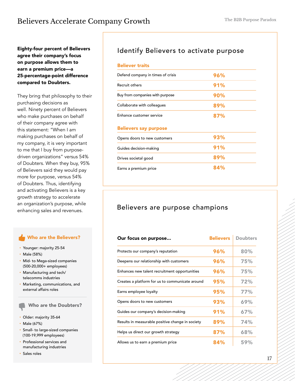Eighty-four percent of Believers agree their company's focus on purpose allows them to earn a premium price—a 25-percentage-point difference compared to Doubters.

They bring that philosophy to their purchasing decisions as well. Ninety percent of Believers who make purchases on behalf of their company agree with this statement: "When I am making purchases on behalf of my company, it is very important to me that I buy from purposedriven organizations" versus 54% of Doubters. When they buy, 95% of Believers said they would pay more for purpose, versus 54% of Doubters. Thus, identifying and activating Believers is a key growth strategy to accelerate an organization's purpose, while enhancing sales and revenues.

#### Who are the Believers?

- Younger: majority 25-54
- Male (58%)
- Mid- to Mega-sized companies (500-20,000+ employees)
- Manufacturing and tech/ telecomms industries
- Marketing, communications, and external affairs roles

Who are the Doubters?

- Older: majority 35-64
- Male (67%)
- Small- to large-sized companies (100-19,999 employees)
- Professional services and manufacturing industries
- Sales roles

### Identify Believers to activate purpose

#### Believer traits

| Defend company in times of crisis | 96% |
|-----------------------------------|-----|
| Recruit others                    | 91% |
| Buy from companies with purpose   | 90% |
| Collaborate with colleagues       | 89% |
| Enhance customer service          | 87% |
|                                   |     |
| <b>Believers say purpose</b>      |     |
| Opens doors to new customers      | 93% |
| Guides decision-making            | 91% |
| Drives societal good              | 89% |

### Believers are purpose champions

| Our focus on purpose                             | <b>Believers</b> | <b>Doubters</b> |
|--------------------------------------------------|------------------|-----------------|
| Protects our company's reputation                | 96%              | 80%             |
| Deepens our relationship with customers          | 96%              | 75%             |
| Enhances new talent recruitment opportunities    | 96%              | 75%             |
| Creates a platform for us to communicate around  | 95%              | 72%             |
| Earns employee loyalty                           | 95%              | 77%             |
| Opens doors to new customers                     | 93%              | 69%             |
| Guides our company's decision-making             | 91%              | 67%             |
| Results in measurable positive change in society | 89%              | 74%             |
| Helps us direct our growth strategy              | 87%              | 68%             |
| Allows us to earn a premium price                | 84%              | 59%             |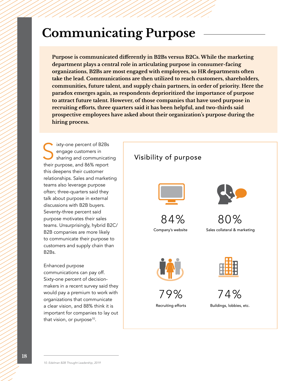## **Communicating Purpose**

Purpose is communicated differently in B2Bs versus B2Cs. While the marketing **department plays a central role in articulating purpose in consumer-facing organizations, B2Bs are most engaged with employees, so HR departments often <b>lang take the lead. Communications are then utilized to reach customers, shareholders, communities, future talent, and supply chain partners, in order of priority. Here the paradox emerges again, as respondents deprioritized the importance of purpose to attract future talent. However, of those companies that have used purpose in**  recruiting efforts, three quarters said it has been helpful, and two-thirds said **prospective employees have asked about their organization's purpose during the hiring process.**

ixty-one percent of B2Bs engage customers in sharing and communicating ixty-one percent of B2Bs<br>
engage customers in<br>
sharing and communicati<br>
their purpose, and 86% report this deepens their customer relationships. Sales and marketing teams also leverage purpose often; three-quarters said they talk about purpose in external discussions with B2B buyers. Seventy-three percent said purpose motivates their sales teams. Unsurprisingly, hybrid B2C/ B2B companies are more likely to communicate their purpose to customers and supply chain than B2Bs.

Enhanced purpose communications can pay off. Sixty-one percent of decisionmakers in a recent survey said they would pay a premium to work with organizations that communicate a clear vision, and 88% think it is important for companies to lay out that vision, or purpose<sup>10</sup>.

### Visibility of purpose



84% Company's website



80% Sales collateral & marketing



79% 74%

Recruiting efforts Buildings, lobbies, etc.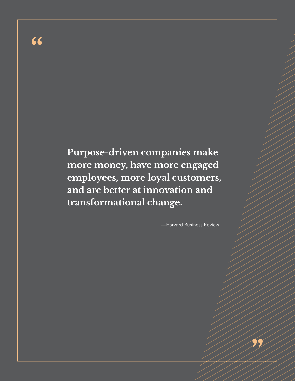**Purpose-driven companies make more money, have more engaged employees, more loyal customers, and are better at innovation and transformational change.**

—Harvard Business Review

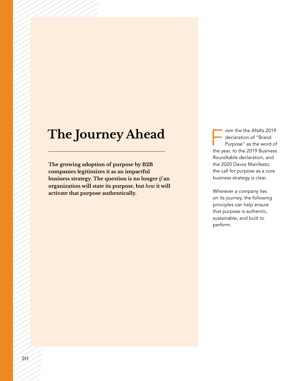## **The Journey Ahead**

**The growing adoption of purpose by B2B companies legitimizes it as an impactful business strategy. The question is no longer** *if* **an organization will state its purpose, but** *how* **it will activate that purpose authentically.**

rom the the ANA's 2019 declaration of "Brand Purpose" as the word of the year, to the 2019 Business Roundtable declaration, and the 2020 Davos Manifesto, the call for purpose as a core business strategy is clear.

Wherever a company lies on its journey, the following principles can help ensure that purpose is authentic, sustainable, and built to perform.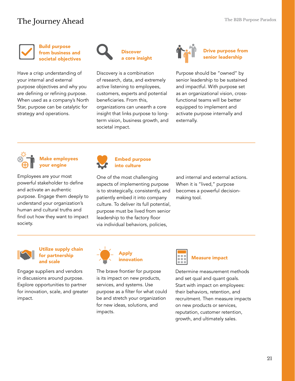### The Journey Ahead



**Build purpose** from business and societal objectives

Have a crisp understanding of your internal and external purpose objectives and why you are defining or refining purpose. When used as a company's North Star, purpose can be catalytic for strategy and operations.



Discovery is a combination of research, data, and extremely active listening to employees, customers, experts and potential beneficiaries. From this, organizations can unearth a core insight that links purpose to longterm vision, business growth, and societal impact.



#### **Drive purpose from** senior leadership

Purpose should be "owned" by senior leadership to be sustained and impactful. With purpose set as an organizational vision, crossfunctional teams will be better equipped to implement and activate purpose internally and externally.



#### **Make employees** vour engine

Employees are your most powerful stakeholder to define and activate an authentic purpose. Engage them deeply to understand your organization's human and cultural truths and find out how they want to impact society.



#### **Embed purpose** into culture

One of the most challenging aspects of implementing purpose is to strategically, consistently, and patiently embed it into company culture. To deliver its full potential, purpose must be lived from senior leadership to the factory floor via individual behaviors, policies,

and internal and external actions. When it is "lived," purpose becomes a powerful decisionmaking tool.

#### Utilize supply chain for partnership and scale

Engage suppliers and vendors in discussions around purpose. Explore opportunities to partner for innovation, scale, and greater impact.



The brave frontier for purpose is its impact on new products, services, and systems. Use purpose as a filter for what could be and stretch your organization for new ideas, solutions, and impacts.



#### **Measure impact**

Determine measurement methods and set qual and quant goals. Start with impact on employees: their behaviors, retention, and recruitment. Then measure impacts on new products or services, reputation, customer retention, growth, and ultimately sales.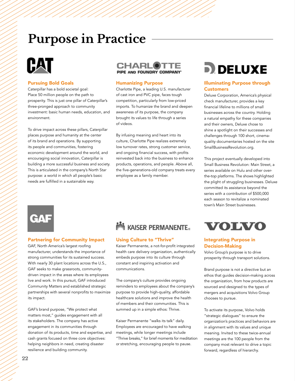## **Purpose in Practice**

## HA

#### **Pursuing Bold Goals**

Caterpillar has a bold societal goal: Place 50 million people on the path to prosperity. This is just one pillar of Caterpillar's three-pronged approach to community investment: basic human needs, education, and environment.

To drive impact across these pillars, Caterpillar places purpose and humanity at the center of its brand and operations. By supporting its people and communities, fostering economic development around the world, and encouraging social innovation, Caterpillar is building a more successful business and society. This is articulated in the company's North Star purpose: a world in which all people's basic needs are fulfilled in a sustainable way.

### HARLO PIPE AND FOUNDRY COMPANY

#### **Humanizing Purpose**

Charlotte Pipe, a leading U.S. manufacturer of cast iron and PVC pipe, faces tough competition, particularly from low-priced imports. To humanize the brand and deepen awareness of its purpose, the company brought its values to life through a series of videos.

By infusing meaning and heart into its culture, Charlotte Pipe realizes extremely low turnover rates, strong customer service, and ongoing financial success, with profits reinvested back into the business to enhance products, operations, and people. Above all, the five-generations-old company treats every employee as a family member.

## **GAF**

#### **Partnering for Community Impact**

GAF, North America's largest roofing manufacturer, understands the importance of strong communities for its sustained success. With nearly 30 plant locations across the U.S., GAF seeks to make grassroots, communitydriven impact in the areas where its employees live and work. In this pursuit, GAF introduced Community Matters and established strategic partnerships with several nonprofits to maximize its impact.

GAF's brand purpose, "We protect what matters most," guides engagement with all its stakeholders. The company has active engagement in its communities through donation of its products, time and expertise, and cash grants focused on three core objectives: helping neighbors in need, creating disaster resilience and building community.

### M KAISER PERMANENTE.

#### **Using Culture to "Thrive"**

Kaiser Permanente, a not-for-profit integrated health care delivery organization, authentically embeds purpose into its culture through constant and inspiring activation and communications.

The company's culture provides ongoing reminders to employees about the company's purpose to provide high-quality, affordable healthcare solutions and improve the health of members and their communities. This is summed up in a simple ethos: Thrive.

Kaiser Permanente "walks its talk" daily. Employees are encouraged to have walking meetings, while longer meetings include "Thrive breaks," for brief moments for meditation or stretching, encouraging people to pause.

## **D** DELUXE

#### **Illuminating Purpose through Customers**

Deluxe Corporation, America's physical check manufacturer, provides a key financial lifeline to millions of small businesses across the country. Holding a natural empathy for these companies and their owners, Deluxe chose to shine a spotlight on their successes and challenges through 100 short, cinemaquality documentaries hosted on the site SmallBusinessRevolution.org.

This project eventually developed into Small Business Revolution: Main Street, a series available on Hulu and other overthe-top platforms. The shows highlighted the plight of struggling businesses. Deluxe committed its assistance beyond the series with a contribution of \$500,000 each season to revitalize a nominated town's Main Street businesses.



#### **Integrating Purpose in Decision-Making**

Volvo Group's purpose is to drive prosperity through transport solutions.

Brand purpose is not a directive but an ethos that guides decision-making across the organization, from how products are sourced and designed to the types of mergers and acquisitions Volvo Group chooses to pursue.

To activate its purpose, Volvo holds "strategic dialogues" to ensure the organization's practices and behaviors are in alignment with its values and unique meaning. Invited to these twice-annual meetings are the 100 people from the company most relevant to drive a topic forward, regardless of hierarchy.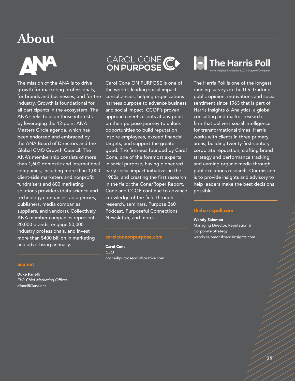## About



The mission of the ANA is to drive growth for marketing professionals, for brands and businesses, and for the industry. Growth is foundational for all participants in the ecosystem. The ANA seeks to align those interests by leveraging the 12-point ANA Masters Circle agenda, which has been endorsed and embraced by the ANA Board of Directors and the Global CMO Growth Council. The ANA's membership consists of more than 1,600 domestic and international companies, including more than 1,000 client-side marketers and nonprofit fundraisers and 600 marketing solutions providers (data science and technology companies, ad agencies, publishers, media companies, suppliers, and vendors). Collectively, ANA member companies represent 20,000 brands, engage 50,000 industry professionals, and invest more than \$400 billion in marketing and advertising annually.

#### ana.net

**Duke Fanelli** EVP, Chief Marketing Officer dfanelli@ana.net

## CAROL CONE C

Carol Cone ON PURPOSE is one of the world's leading social impact consultancies, helping organizations harness purpose to advance business and social impact. CCOP's proven approach meets clients at any point on their purpose journey to unlock opportunities to build reputation, inspire employees, exceed financial targets, and support the greater good. The firm was founded by Carol Cone, one of the foremost experts in social purpose, having pioneered early social impact initiatives in the 1980s, and creating the first research in the field: the Cone/Roper Report. Cone and CCOP continue to advance knowledge of the field through research, seminars, Purpose 360 Podcast, Purposeful Connections Newsletter, and more.

#### carolconeonpurpose.com

**Carol Cone**  $CEO$ ccone@purposecollaborative.com

## **-** The Harris Poll

The Harris Poll is one of the longest running surveys in the U.S. tracking public opinion, motivations and social sentiment since 1963 that is part of Harris Insights & Analytics, a global consulting and market research firm that delivers social intelligence for transformational times. Harris works with clients in three primary areas; building twenty-first-century corporate reputation, crafting brand strategy and performance tracking, and earning organic media through public relations research. Our mission is to provide insights and advisory to help leaders make the best decisions possible.

#### theharrispoll.com

#### **Wendy Salomon**

Managing Director, Reputation & **Corporate Strategy** wendy.salomon@harrisinsights.com